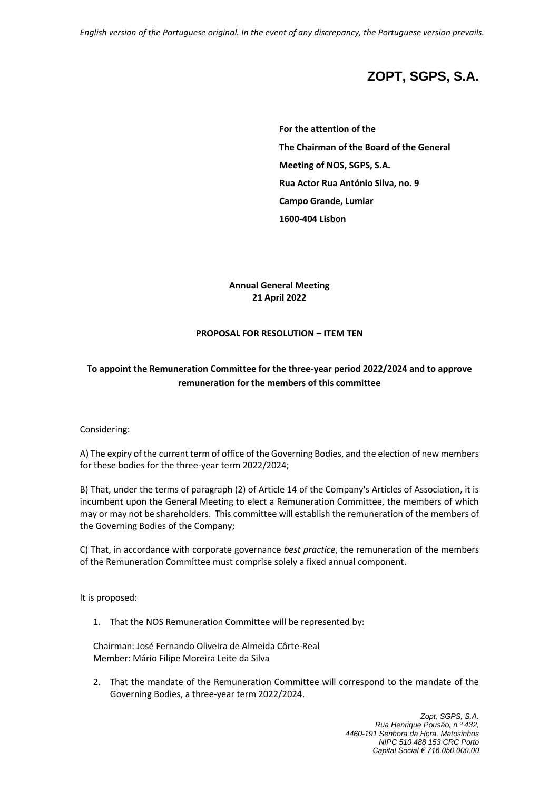# **ZOPT, SGPS, S.A.**

**For the attention of the The Chairman of the Board of the General Meeting of NOS, SGPS, S.A. Rua Actor Rua António Silva, no. 9 Campo Grande, Lumiar 1600-404 Lisbon**

**Annual General Meeting 21 April 2022**

#### **PROPOSAL FOR RESOLUTION – ITEM TEN**

## **To appoint the Remuneration Committee for the three-year period 2022/2024 and to approve remuneration for the members of this committee**

#### Considering:

A) The expiry of the current term of office of the Governing Bodies, and the election of new members for these bodies for the three-year term 2022/2024;

B) That, under the terms of paragraph (2) of Article 14 of the Company's Articles of Association, it is incumbent upon the General Meeting to elect a Remuneration Committee, the members of which may or may not be shareholders. This committee will establish the remuneration of the members of the Governing Bodies of the Company;

C) That, in accordance with corporate governance *best practice*, the remuneration of the members of the Remuneration Committee must comprise solely a fixed annual component.

It is proposed:

1. That the NOS Remuneration Committee will be represented by:

Chairman: José Fernando Oliveira de Almeida Côrte-Real Member: Mário Filipe Moreira Leite da Silva

2. That the mandate of the Remuneration Committee will correspond to the mandate of the Governing Bodies, a three-year term 2022/2024.

> *Zopt, SGPS, S.A. Rua Henrique Pousão, n.º 432, 4460-191 Senhora da Hora, Matosinhos NIPC 510 488 153 CRC Porto Capital Social € 716.050.000,00*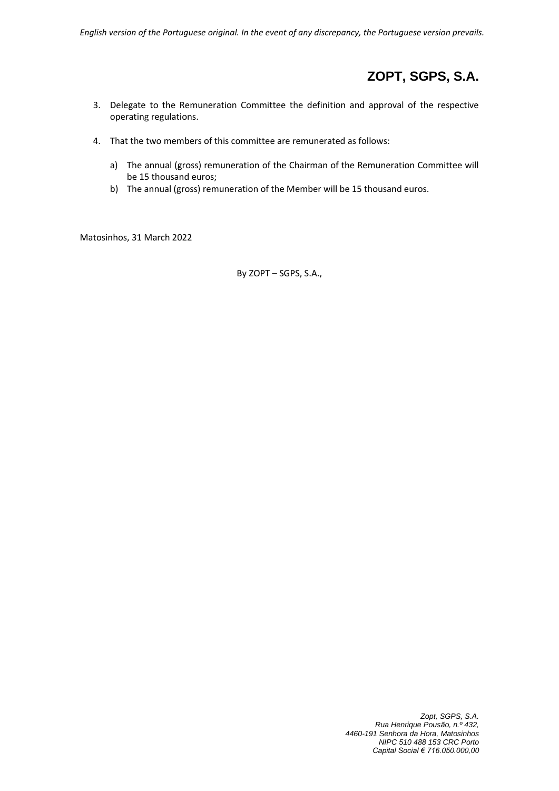# **ZOPT, SGPS, S.A.**

- 3. Delegate to the Remuneration Committee the definition and approval of the respective operating regulations.
- 4. That the two members of this committee are remunerated as follows:
	- a) The annual (gross) remuneration of the Chairman of the Remuneration Committee will be 15 thousand euros;
	- b) The annual (gross) remuneration of the Member will be 15 thousand euros.

Matosinhos, 31 March 2022

By ZOPT – SGPS, S.A.,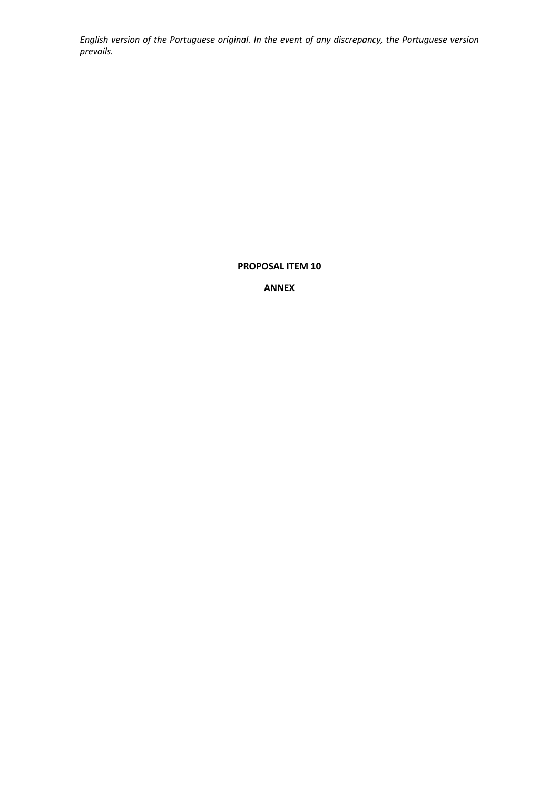**PROPOSAL ITEM 10**

**ANNEX**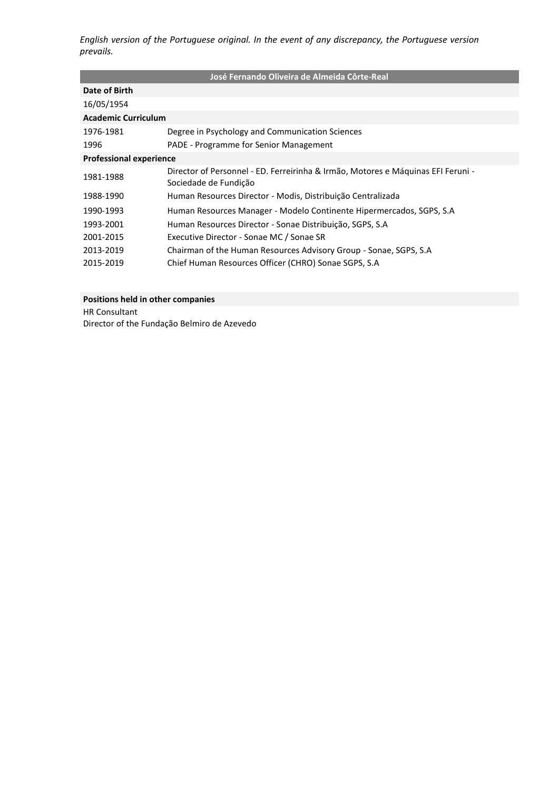| José Fernando Oliveira de Almeida Côrte-Real |                                                                                                           |  |  |
|----------------------------------------------|-----------------------------------------------------------------------------------------------------------|--|--|
| Date of Birth                                |                                                                                                           |  |  |
| 16/05/1954                                   |                                                                                                           |  |  |
| <b>Academic Curriculum</b>                   |                                                                                                           |  |  |
| 1976-1981                                    | Degree in Psychology and Communication Sciences                                                           |  |  |
| 1996                                         | PADE - Programme for Senior Management                                                                    |  |  |
| <b>Professional experience</b>               |                                                                                                           |  |  |
| 1981-1988                                    | Director of Personnel - ED. Ferreirinha & Irmão, Motores e Máquinas EFI Feruni -<br>Sociedade de Fundição |  |  |
| 1988-1990                                    | Human Resources Director - Modis, Distribuição Centralizada                                               |  |  |
| 1990-1993                                    | Human Resources Manager - Modelo Continente Hipermercados, SGPS, S.A                                      |  |  |
| 1993-2001                                    | Human Resources Director - Sonae Distribuição, SGPS, S.A                                                  |  |  |
| 2001-2015                                    | Executive Director - Sonae MC / Sonae SR                                                                  |  |  |
| 2013-2019                                    | Chairman of the Human Resources Advisory Group - Sonae, SGPS, S.A                                         |  |  |
| 2015-2019                                    | Chief Human Resources Officer (CHRO) Sonae SGPS, S.A                                                      |  |  |

### **Positions held in other companies**

HR Consultant Director of the Fundação Belmiro de Azevedo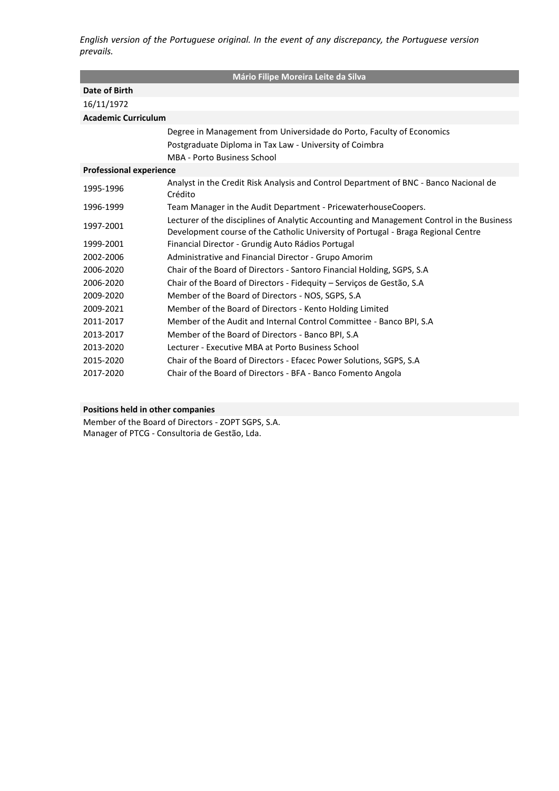| Mário Filipe Moreira Leite da Silva |                                                                                                                                                                                |  |  |
|-------------------------------------|--------------------------------------------------------------------------------------------------------------------------------------------------------------------------------|--|--|
| Date of Birth                       |                                                                                                                                                                                |  |  |
| 16/11/1972                          |                                                                                                                                                                                |  |  |
| <b>Academic Curriculum</b>          |                                                                                                                                                                                |  |  |
|                                     | Degree in Management from Universidade do Porto, Faculty of Economics                                                                                                          |  |  |
|                                     | Postgraduate Diploma in Tax Law - University of Coimbra                                                                                                                        |  |  |
|                                     | MBA - Porto Business School                                                                                                                                                    |  |  |
| <b>Professional experience</b>      |                                                                                                                                                                                |  |  |
| 1995-1996                           | Analyst in the Credit Risk Analysis and Control Department of BNC - Banco Nacional de<br>Crédito                                                                               |  |  |
| 1996-1999                           | Team Manager in the Audit Department - PricewaterhouseCoopers.                                                                                                                 |  |  |
| 1997-2001                           | Lecturer of the disciplines of Analytic Accounting and Management Control in the Business<br>Development course of the Catholic University of Portugal - Braga Regional Centre |  |  |
| 1999-2001                           | Financial Director - Grundig Auto Rádios Portugal                                                                                                                              |  |  |
| 2002-2006                           | Administrative and Financial Director - Grupo Amorim                                                                                                                           |  |  |
| 2006-2020                           | Chair of the Board of Directors - Santoro Financial Holding, SGPS, S.A.                                                                                                        |  |  |
| 2006-2020                           | Chair of the Board of Directors - Fidequity – Serviços de Gestão, S.A                                                                                                          |  |  |
| 2009-2020                           | Member of the Board of Directors - NOS, SGPS, S.A.                                                                                                                             |  |  |
| 2009-2021                           | Member of the Board of Directors - Kento Holding Limited                                                                                                                       |  |  |
| 2011-2017                           | Member of the Audit and Internal Control Committee - Banco BPI, S.A                                                                                                            |  |  |
| 2013-2017                           | Member of the Board of Directors - Banco BPI, S.A.                                                                                                                             |  |  |
| 2013-2020                           | Lecturer - Executive MBA at Porto Business School                                                                                                                              |  |  |
| 2015-2020                           | Chair of the Board of Directors - Efacec Power Solutions, SGPS, S.A.                                                                                                           |  |  |
| 2017-2020                           | Chair of the Board of Directors - BFA - Banco Fomento Angola                                                                                                                   |  |  |

### **Positions held in other companies**

Member of the Board of Directors - ZOPT SGPS, S.A. Manager of PTCG - Consultoria de Gestão, Lda.